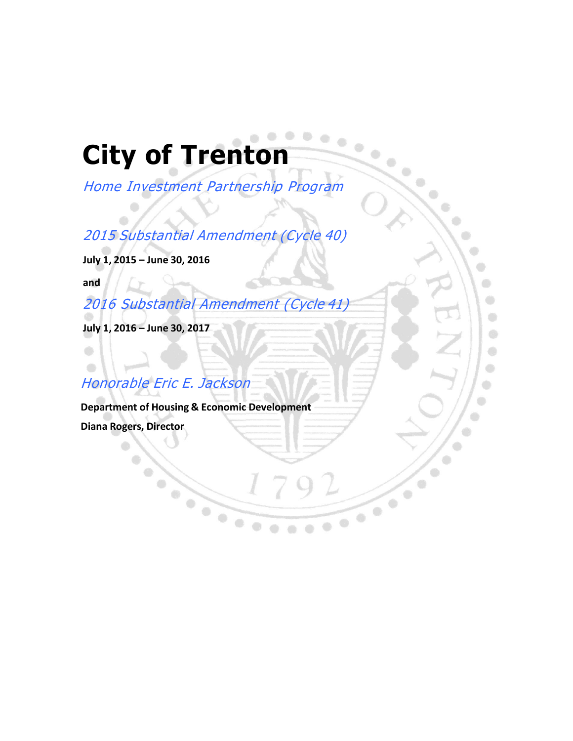# $\bullet\bullet\bullet\bullet$ **City of Trenton**

Home Investment Partnership Program

2015 Substantial Amendment (Cycle 40)

**July 1, 2015 – June 30, 2016**

**and**

 $\bullet$ 

 $\bigcirc$ 

2016 Substantial Amendment (Cycle 41)

**July 1, 2016 – June 30, 2017**

Ô 0

## Honorable Eric E. Jackson

 $\bigcirc$ 

**Department of Housing & Economic Development Diana Rogers, Director**

OMB CONTROL

City of Trenton Substantial American

 $\odot$  $\bigcirc$  $\begin{picture}(20,20) \put(0,0){\line(1,0){10}} \put(10,0){\line(1,0){10}} \put(10,0){\line(1,0){10}} \put(10,0){\line(1,0){10}} \put(10,0){\line(1,0){10}} \put(10,0){\line(1,0){10}} \put(10,0){\line(1,0){10}} \put(10,0){\line(1,0){10}} \put(10,0){\line(1,0){10}} \put(10,0){\line(1,0){10}} \put(10,0){\line(1,0){10}} \put(10,0){\line(1$  $\bullet$  $\bigcirc$ 

> $\bigcirc$ 6

۰

۰

Ö

 $\begin{array}{c} \bullet \\ \bullet \end{array}$